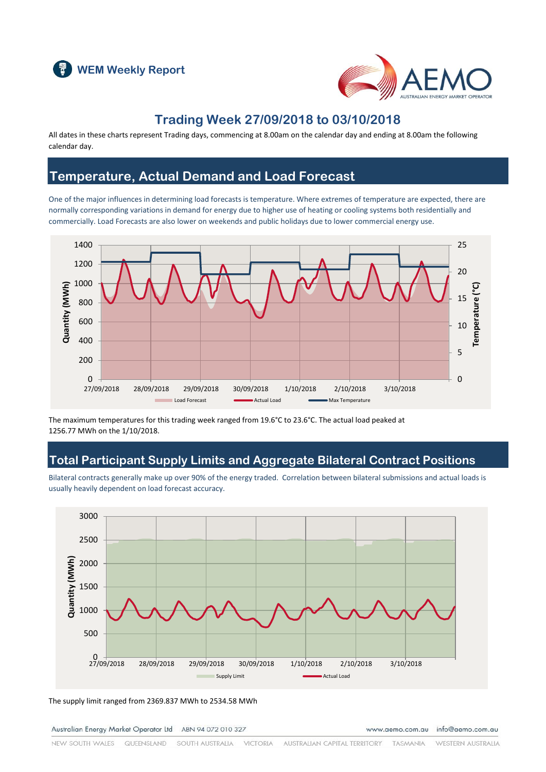



### **Trading Week 27/09/2018 to 03/10/2018**

All dates in these charts represent Trading days, commencing at 8.00am on the calendar day and ending at 8.00am the following calendar day.

#### **Temperature, Actual Demand and Load Forecast**

One of the major influences in determining load forecasts is temperature. Where extremes of temperature are expected, there are normally corresponding variations in demand for energy due to higher use of heating or cooling systems both residentially and commercially. Load Forecasts are also lower on weekends and public holidays due to lower commercial energy use.



The maximum temperatures for this trading week ranged from 19.6°C to 23.6°C. The actual load peaked at 1256.77 MWh on the 1/10/2018.

### **Total Participant Supply Limits and Aggregate Bilateral Contract Positions**

Bilateral contracts generally make up over 90% of the energy traded. Correlation between bilateral submissions and actual loads is usually heavily dependent on load forecast accuracy.



The supply limit ranged from 2369.837 MWh to 2534.58 MWh

Australian Energy Market Operator Ltd ABN 94 072 010 327

www.aemo.com.au info@aemo.com.au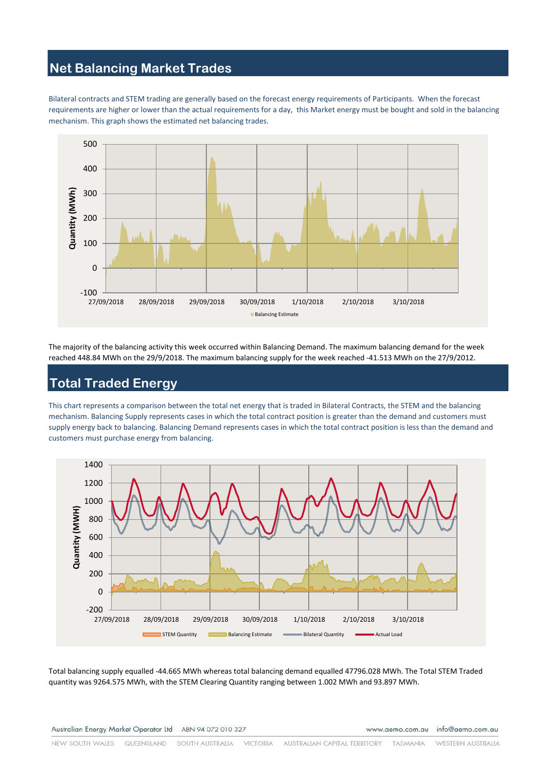# **Net Balancing Market Trades**

Bilateral contracts and STEM trading are generally based on the forecast energy requirements of Participants. When the forecast requirements are higher or lower than the actual requirements for a day, this Market energy must be bought and sold in the balancing mechanism. This graph shows the estimated net balancing trades.



The majority of the balancing activity this week occurred within Balancing Demand. The maximum balancing demand for the week reached 448.84 MWh on the 29/9/2018. The maximum balancing supply for the week reached -41.513 MWh on the 27/9/2012.

### **Total Traded Energy**

This chart represents a comparison between the total net energy that is traded in Bilateral Contracts, the STEM and the balancing mechanism. Balancing Supply represents cases in which the total contract position is greater than the demand and customers must supply energy back to balancing. Balancing Demand represents cases in which the total contract position is less than the demand and customers must purchase energy from balancing.



Total balancing supply equalled -44.665 MWh whereas total balancing demand equalled 47796.028 MWh. The Total STEM Traded quantity was 9264.575 MWh, with the STEM Clearing Quantity ranging between 1.002 MWh and 93.897 MWh.